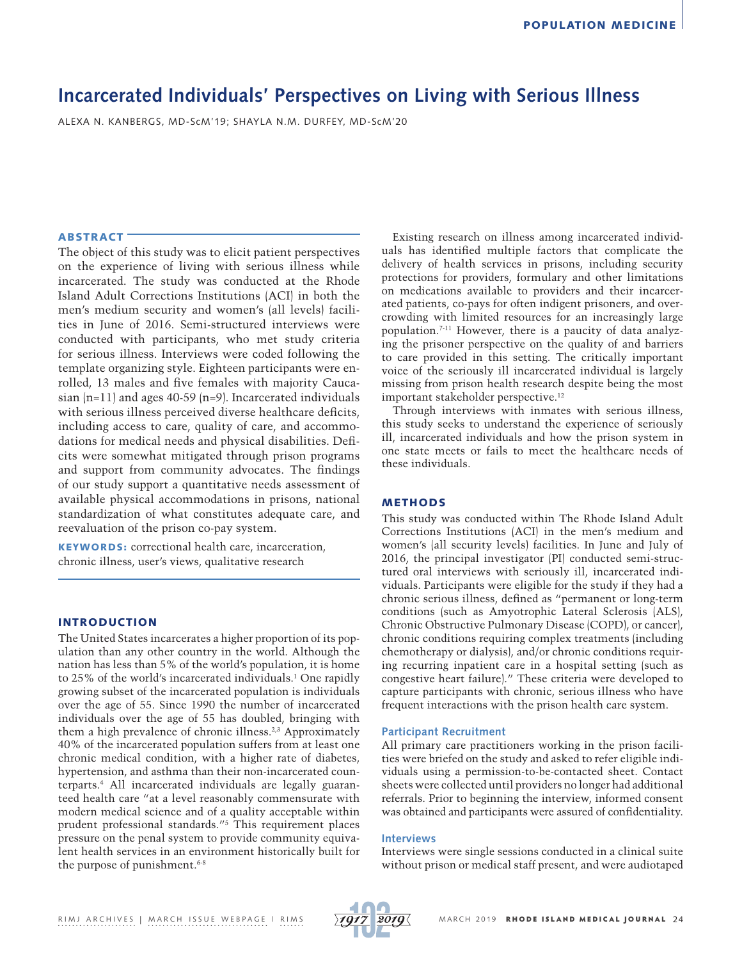# **Incarcerated Individuals' Perspectives on Living with Serious Illness**

ALEXA N. KANBERGS, MD-ScM'19; SHAYLA N.M. DURFEY, MD-ScM'20

# ABSTRACT

The object of this study was to elicit patient perspectives on the experience of living with serious illness while incarcerated. The study was conducted at the Rhode Island Adult Corrections Institutions (ACI) in both the men's medium security and women's (all levels) facilities in June of 2016. Semi-structured interviews were conducted with participants, who met study criteria for serious illness. Interviews were coded following the template organizing style. Eighteen participants were enrolled, 13 males and five females with majority Caucasian  $(n=11)$  and ages 40-59  $(n=9)$ . Incarcerated individuals with serious illness perceived diverse healthcare deficits, including access to care, quality of care, and accommodations for medical needs and physical disabilities. Deficits were somewhat mitigated through prison programs and support from community advocates. The findings of our study support a quantitative needs assessment of available physical accommodations in prisons, national standardization of what constitutes adequate care, and reevaluation of the prison co-pay system.

KEYWORDS: correctional health care, incarceration, chronic illness, user's views, qualitative research

# INTRODUCTION

The United States incarcerates a higher proportion of its population than any other country in the world. Although the nation has less than 5% of the world's population, it is home to 25% of the world's incarcerated individuals.1 One rapidly growing subset of the incarcerated population is individuals over the age of 55. Since 1990 the number of incarcerated individuals over the age of 55 has doubled, bringing with them a high prevalence of chronic illness.<sup>2,3</sup> Approximately 40% of the incarcerated population suffers from at least one chronic medical condition, with a higher rate of diabetes, hypertension, and asthma than their non-incarcerated counterparts.4 All incarcerated individuals are legally guaranteed health care "at a level reasonably commensurate with modern medical science and of a quality acceptable within prudent professional standards."5 This requirement places pressure on the penal system to provide community equivalent health services in an environment historically built for the purpose of punishment.<sup>6-8</sup>

Existing research on illness among incarcerated individuals has identified multiple factors that complicate the delivery of health services in prisons, including security protections for providers, formulary and other limitations on medications available to providers and their incarcerated patients, co-pays for often indigent prisoners, and overcrowding with limited resources for an increasingly large population.7-11 However, there is a paucity of data analyzing the prisoner perspective on the quality of and barriers to care provided in this setting. The critically important voice of the seriously ill incarcerated individual is largely missing from prison health research despite being the most important stakeholder perspective.12

Through interviews with inmates with serious illness, this study seeks to understand the experience of seriously ill, incarcerated individuals and how the prison system in one state meets or fails to meet the healthcare needs of these individuals.

# **METHODS**

This study was conducted within The Rhode Island Adult Corrections Institutions (ACI) in the men's medium and women's (all security levels) facilities. In June and July of 2016, the principal investigator (PI) conducted semi-structured oral interviews with seriously ill, incarcerated individuals. Participants were eligible for the study if they had a chronic serious illness, defined as "permanent or long-term conditions (such as Amyotrophic Lateral Sclerosis (ALS), Chronic Obstructive Pulmonary Disease (COPD), or cancer), chronic conditions requiring complex treatments (including chemotherapy or dialysis), and/or chronic conditions requiring recurring inpatient care in a hospital setting (such as congestive heart failure)." These criteria were developed to capture participants with chronic, serious illness who have frequent interactions with the prison health care system.

## **Participant Recruitment**

All primary care practitioners working in the prison facilities were briefed on the study and asked to refer eligible individuals using a permission-to-be-contacted sheet. Contact sheets were collected until providers no longer had additional referrals. Prior to beginning the interview, informed consent was obtained and participants were assured of confidentiality.

## **Interviews**

Interviews were single sessions conducted in a clinical suite without prison or medical staff present, and were audiotaped

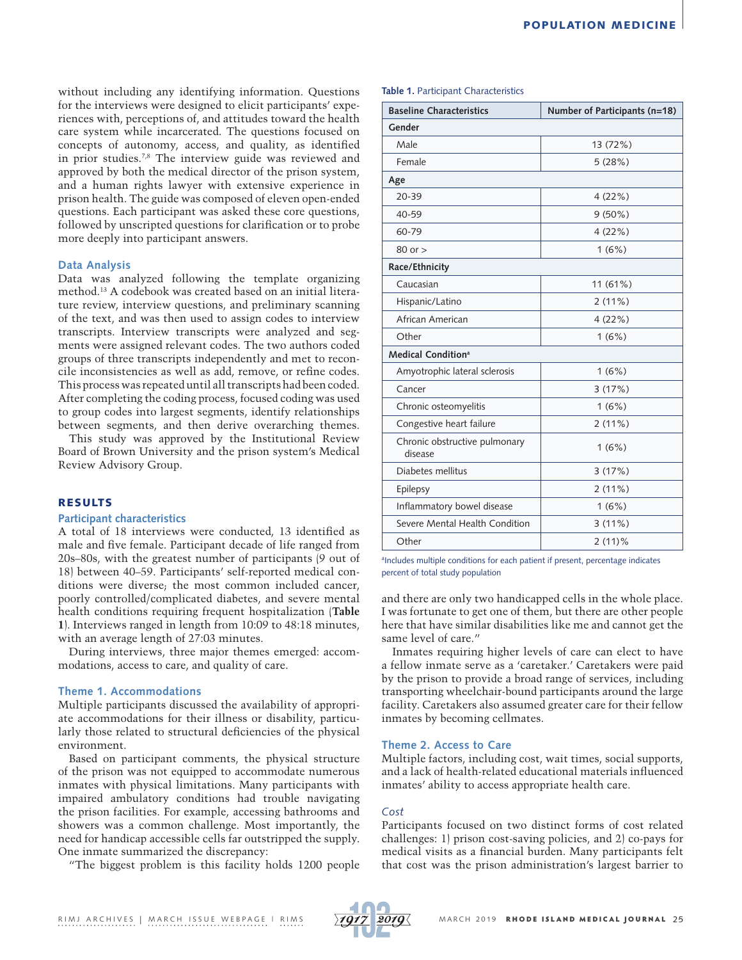without including any identifying information. Questions for the interviews were designed to elicit participants' experiences with, perceptions of, and attitudes toward the health care system while incarcerated. The questions focused on concepts of autonomy, access, and quality, as identified in prior studies.7,8 The interview guide was reviewed and approved by both the medical director of the prison system, and a human rights lawyer with extensive experience in prison health. The guide was composed of eleven open-ended questions. Each participant was asked these core questions, followed by unscripted questions for clarification or to probe more deeply into participant answers.

## **Data Analysis**

Data was analyzed following the template organizing method.13 A codebook was created based on an initial literature review, interview questions, and preliminary scanning of the text, and was then used to assign codes to interview transcripts. Interview transcripts were analyzed and segments were assigned relevant codes. The two authors coded groups of three transcripts independently and met to reconcile inconsistencies as well as add, remove, or refine codes. This process was repeated until all transcripts had been coded. After completing the coding process, focused coding was used to group codes into largest segments, identify relationships between segments, and then derive overarching themes.

This study was approved by the Institutional Review Board of Brown University and the prison system's Medical Review Advisory Group.

## RESULTS

# **Participant characteristics**

A total of 18 interviews were conducted, 13 identified as male and five female. Participant decade of life ranged from 20s–80s, with the greatest number of participants (9 out of 18) between 40–59. Participants' self-reported medical conditions were diverse; the most common included cancer, poorly controlled/complicated diabetes, and severe mental health conditions requiring frequent hospitalization (**Table 1**). Interviews ranged in length from 10:09 to 48:18 minutes, with an average length of 27:03 minutes.

During interviews, three major themes emerged: accommodations, access to care, and quality of care.

## **Theme 1. Accommodations**

Multiple participants discussed the availability of appropriate accommodations for their illness or disability, particularly those related to structural deficiencies of the physical environment.

Based on participant comments, the physical structure of the prison was not equipped to accommodate numerous inmates with physical limitations. Many participants with impaired ambulatory conditions had trouble navigating the prison facilities. For example, accessing bathrooms and showers was a common challenge. Most importantly, the need for handicap accessible cells far outstripped the supply. One inmate summarized the discrepancy:

"The biggest problem is this facility holds 1200 people

## **Table 1.** Participant Characteristics

| <b>Baseline Characteristics</b>          | Number of Participants (n=18) |
|------------------------------------------|-------------------------------|
| Gender                                   |                               |
| Male                                     | 13 (72%)                      |
| Female                                   | 5(28%)                        |
| Age                                      |                               |
| 20-39                                    | 4(22%)                        |
| 40-59                                    | 9(50%)                        |
| 60-79                                    | 4(22%)                        |
| $80$ or $>$                              | 1(6%)                         |
| Race/Ethnicity                           |                               |
| Caucasian                                | 11 (61%)                      |
| Hispanic/Latino                          | 2(11%)                        |
| African American                         | 4(22%)                        |
| Other                                    | 1(6%)                         |
| Medical Condition <sup>a</sup>           |                               |
| Amyotrophic lateral sclerosis            | 1(6%)                         |
| Cancer                                   | 3(17%)                        |
| Chronic osteomyelitis                    | 1(6%)                         |
| Congestive heart failure                 | 2(11%)                        |
| Chronic obstructive pulmonary<br>disease | 1(6%)                         |
| Diabetes mellitus                        | 3(17%)                        |
| Epilepsy                                 | 2(11%)                        |
| Inflammatory bowel disease               | 1(6%)                         |
| Severe Mental Health Condition           | 3(11%)                        |
| Other                                    | $2(11)\%$                     |

alncludes multiple conditions for each patient if present, percentage indicates percent of total study population

and there are only two handicapped cells in the whole place. I was fortunate to get one of them, but there are other people here that have similar disabilities like me and cannot get the same level of care."

Inmates requiring higher levels of care can elect to have a fellow inmate serve as a 'caretaker.' Caretakers were paid by the prison to provide a broad range of services, including transporting wheelchair-bound participants around the large facility. Caretakers also assumed greater care for their fellow inmates by becoming cellmates.

## **Theme 2. Access to Care**

Multiple factors, including cost, wait times, social supports, and a lack of health-related educational materials influenced inmates' ability to access appropriate health care.

#### *Cost*

Participants focused on two distinct forms of cost related challenges: 1) prison cost-saving policies, and 2) co-pays for medical visits as a financial burden. Many participants felt that cost was the prison administration's largest barrier to

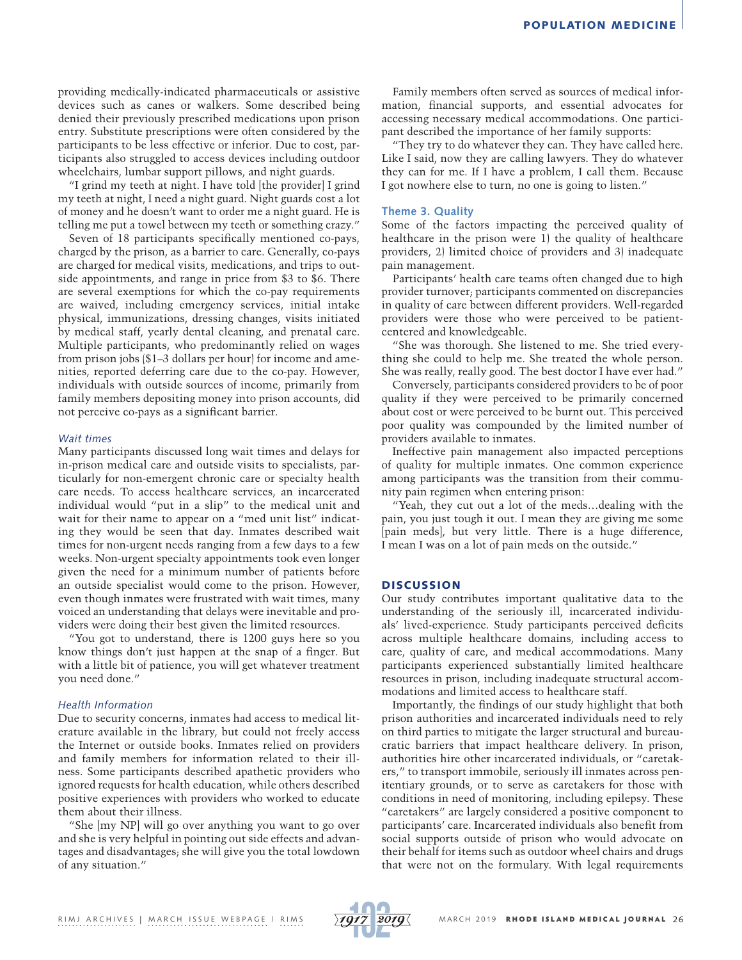providing medically-indicated pharmaceuticals or assistive devices such as canes or walkers. Some described being denied their previously prescribed medications upon prison entry. Substitute prescriptions were often considered by the participants to be less effective or inferior. Due to cost, participants also struggled to access devices including outdoor wheelchairs, lumbar support pillows, and night guards.

"I grind my teeth at night. I have told [the provider] I grind my teeth at night, I need a night guard. Night guards cost a lot of money and he doesn't want to order me a night guard. He is telling me put a towel between my teeth or something crazy."

Seven of 18 participants specifically mentioned co-pays, charged by the prison, as a barrier to care. Generally, co-pays are charged for medical visits, medications, and trips to outside appointments, and range in price from \$3 to \$6. There are several exemptions for which the co-pay requirements are waived, including emergency services, initial intake physical, immunizations, dressing changes, visits initiated by medical staff, yearly dental cleaning, and prenatal care. Multiple participants, who predominantly relied on wages from prison jobs (\$1–3 dollars per hour) for income and amenities, reported deferring care due to the co-pay. However, individuals with outside sources of income, primarily from family members depositing money into prison accounts, did not perceive co-pays as a significant barrier.

## *Wait times*

Many participants discussed long wait times and delays for in-prison medical care and outside visits to specialists, particularly for non-emergent chronic care or specialty health care needs. To access healthcare services, an incarcerated individual would "put in a slip" to the medical unit and wait for their name to appear on a "med unit list" indicating they would be seen that day. Inmates described wait times for non-urgent needs ranging from a few days to a few weeks. Non-urgent specialty appointments took even longer given the need for a minimum number of patients before an outside specialist would come to the prison. However, even though inmates were frustrated with wait times, many voiced an understanding that delays were inevitable and providers were doing their best given the limited resources.

"You got to understand, there is 1200 guys here so you know things don't just happen at the snap of a finger. But with a little bit of patience, you will get whatever treatment you need done."

## *Health Information*

Due to security concerns, inmates had access to medical literature available in the library, but could not freely access the Internet or outside books. Inmates relied on providers and family members for information related to their illness. Some participants described apathetic providers who ignored requests for health education, while others described positive experiences with providers who worked to educate them about their illness.

"She [my NP] will go over anything you want to go over and she is very helpful in pointing out side effects and advantages and disadvantages; she will give you the total lowdown of any situation."

Family members often served as sources of medical information, financial supports, and essential advocates for accessing necessary medical accommodations. One participant described the importance of her family supports:

"They try to do whatever they can. They have called here. Like I said, now they are calling lawyers. They do whatever they can for me. If I have a problem, I call them. Because I got nowhere else to turn, no one is going to listen."

### **Theme 3. Quality**

Some of the factors impacting the perceived quality of healthcare in the prison were 1) the quality of healthcare providers, 2) limited choice of providers and 3) inadequate pain management.

Participants' health care teams often changed due to high provider turnover; participants commented on discrepancies in quality of care between different providers. Well-regarded providers were those who were perceived to be patientcentered and knowledgeable.

"She was thorough. She listened to me. She tried everything she could to help me. She treated the whole person. She was really, really good. The best doctor I have ever had."

Conversely, participants considered providers to be of poor quality if they were perceived to be primarily concerned about cost or were perceived to be burnt out. This perceived poor quality was compounded by the limited number of providers available to inmates.

Ineffective pain management also impacted perceptions of quality for multiple inmates. One common experience among participants was the transition from their community pain regimen when entering prison:

"Yeah, they cut out a lot of the meds…dealing with the pain, you just tough it out. I mean they are giving me some [pain meds], but very little. There is a huge difference, I mean I was on a lot of pain meds on the outside."

## **DISCUSSION**

Our study contributes important qualitative data to the understanding of the seriously ill, incarcerated individuals' lived-experience. Study participants perceived deficits across multiple healthcare domains, including access to care, quality of care, and medical accommodations. Many participants experienced substantially limited healthcare resources in prison, including inadequate structural accommodations and limited access to healthcare staff.

Importantly, the findings of our study highlight that both prison authorities and incarcerated individuals need to rely on third parties to mitigate the larger structural and bureaucratic barriers that impact healthcare delivery. In prison, authorities hire other incarcerated individuals, or "caretakers," to transport immobile, seriously ill inmates across penitentiary grounds, or to serve as caretakers for those with conditions in need of monitoring, including epilepsy. These "caretakers" are largely considered a positive component to participants' care. Incarcerated individuals also benefit from social supports outside of prison who would advocate on their behalf for items such as outdoor wheel chairs and drugs that were not on the formulary. With legal requirements